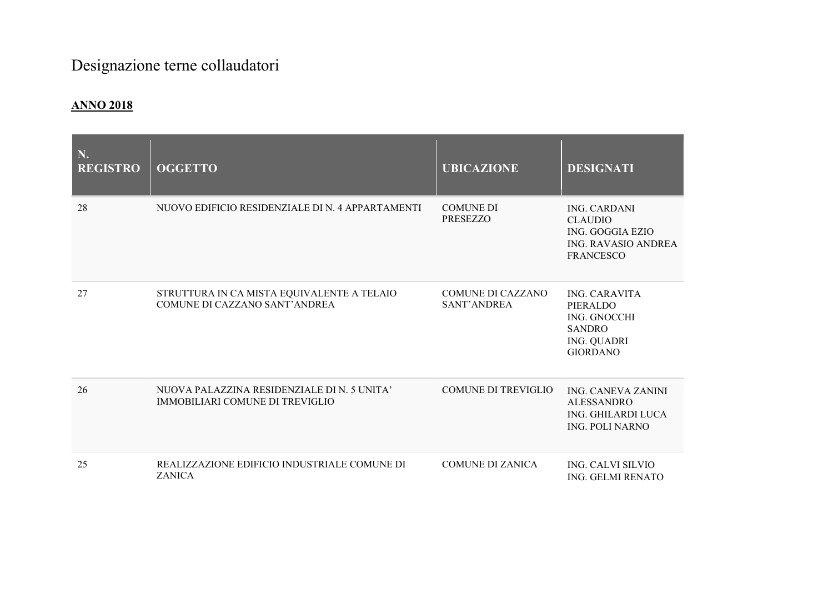## Designazione terne collaudatori

## ANNO 2018

| N.<br><b>REGISTRO</b> | <b>OGGETTO</b>                                                                        | <b>UBICAZIONE</b>                   | <b>DESIGNATI</b>                                                                                                  |
|-----------------------|---------------------------------------------------------------------------------------|-------------------------------------|-------------------------------------------------------------------------------------------------------------------|
| 28                    | NUOVO EDIFICIO RESIDENZIALE DI N. 4 APPARTAMENTI                                      | <b>COMUNE DI</b><br><b>PRESEZZO</b> | <b>ING. CARDANI</b><br><b>CLAUDIO</b><br>ING. GOGGIA EZIO<br><b>ING. RAVASIO ANDREA</b><br><b>FRANCESCO</b>       |
| 27                    | STRUTTURA IN CA MISTA EQUIVALENTE A TELAIO<br>COMUNE DI CAZZANO SANT'ANDREA           | COMUNE DI CAZZANO<br>SANT'ANDREA    | <b>ING. CARAVITA</b><br>PIERALDO<br><b>ING. GNOCCHI</b><br><b>SANDRO</b><br><b>ING. QUADRI</b><br><b>GIORDANO</b> |
| 26                    | NUOVA PALAZZINA RESIDENZIALE DI N. 5 UNITA'<br><b>IMMOBILIARI COMUNE DI TREVIGLIO</b> | <b>COMUNE DI TREVIGLIO</b>          | <b>ING. CANEVA ZANINI</b><br><b>ALESSANDRO</b><br>ING. GHILARDI LUCA<br><b>ING. POLI NARNO</b>                    |
| 25                    | REALIZZAZIONE EDIFICIO INDUSTRIALE COMUNE DI<br><b>ZANICA</b>                         | COMUNE DI ZANICA                    | <b>ING. CALVI SILVIO</b><br><b>ING. GELMI RENATO</b>                                                              |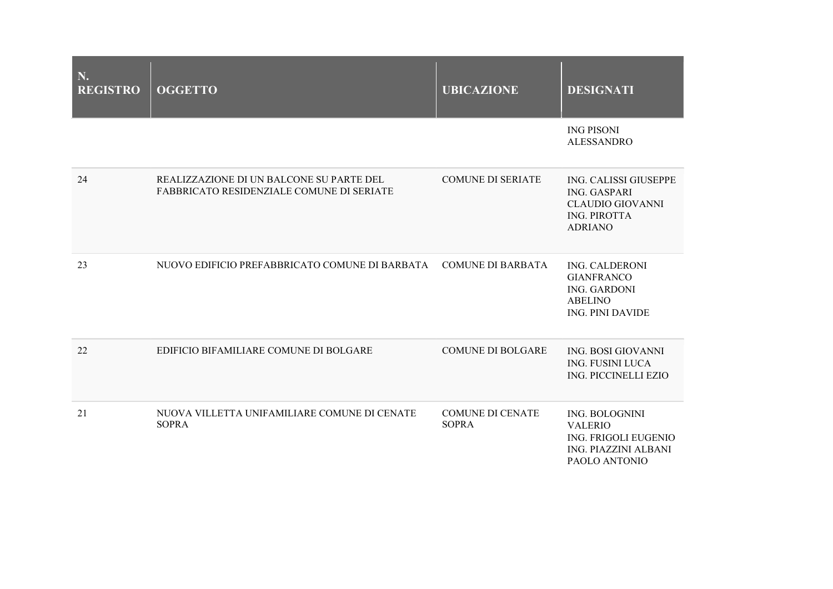| N.<br><b>REGISTRO</b> | <b>OGGETTO</b>                                                                               | <b>UBICAZIONE</b>                       | <b>DESIGNATI</b>                                                                                                 |
|-----------------------|----------------------------------------------------------------------------------------------|-----------------------------------------|------------------------------------------------------------------------------------------------------------------|
|                       |                                                                                              |                                         | <b>ING PISONI</b><br><b>ALESSANDRO</b>                                                                           |
| 24                    | REALIZZAZIONE DI UN BALCONE SU PARTE DEL<br><b>FABBRICATO RESIDENZIALE COMUNE DI SERIATE</b> | <b>COMUNE DI SERIATE</b>                | ING. CALISSI GIUSEPPE<br><b>ING. GASPARI</b><br><b>CLAUDIO GIOVANNI</b><br><b>ING. PIROTTA</b><br><b>ADRIANO</b> |
| 23                    | NUOVO EDIFICIO PREFABBRICATO COMUNE DI BARBATA                                               | <b>COMUNE DI BARBATA</b>                | <b>ING. CALDERONI</b><br><b>GIANFRANCO</b><br><b>ING. GARDONI</b><br><b>ABELINO</b><br><b>ING. PINI DAVIDE</b>   |
| 22                    | EDIFICIO BIFAMILIARE COMUNE DI BOLGARE                                                       | <b>COMUNE DI BOLGARE</b>                | ING. BOSI GIOVANNI<br><b>ING. FUSINI LUCA</b><br>ING. PICCINELLI EZIO                                            |
| 21                    | NUOVA VILLETTA UNIFAMILIARE COMUNE DI CENATE<br><b>SOPRA</b>                                 | <b>COMUNE DI CENATE</b><br><b>SOPRA</b> | <b>ING. BOLOGNINI</b><br><b>VALERIO</b><br>ING. FRIGOLI EUGENIO<br><b>ING. PIAZZINI ALBANI</b><br>PAOLO ANTONIO  |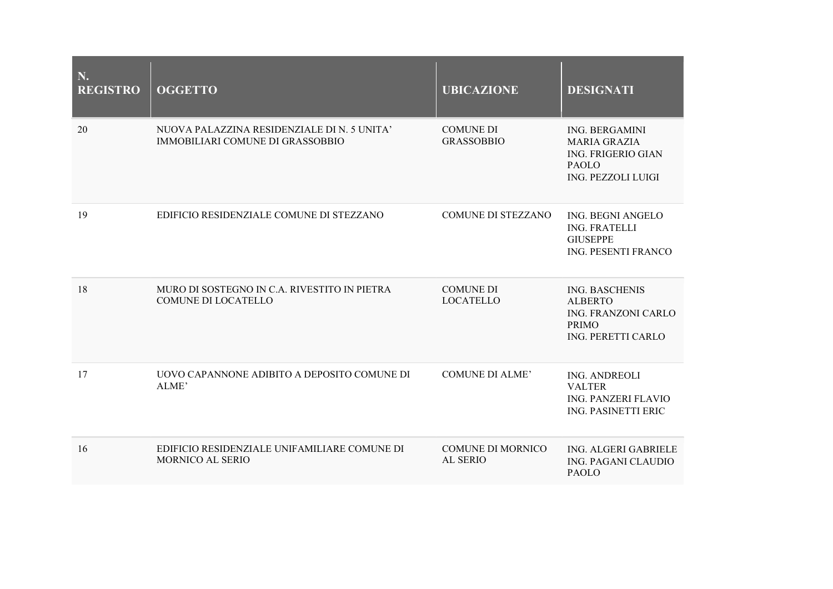| N.<br><b>REGISTRO</b> | <b>OGGETTO</b>                                                                  | <b>UBICAZIONE</b>                     | <b>DESIGNATI</b>                                                                                                       |
|-----------------------|---------------------------------------------------------------------------------|---------------------------------------|------------------------------------------------------------------------------------------------------------------------|
| 20                    | NUOVA PALAZZINA RESIDENZIALE DI N. 5 UNITA'<br>IMMOBILIARI COMUNE DI GRASSOBBIO | <b>COMUNE DI</b><br><b>GRASSOBBIO</b> | <b>ING. BERGAMINI</b><br><b>MARIA GRAZIA</b><br><b>ING. FRIGERIO GIAN</b><br><b>PAOLO</b><br><b>ING. PEZZOLI LUIGI</b> |
| 19                    | EDIFICIO RESIDENZIALE COMUNE DI STEZZANO                                        | <b>COMUNE DI STEZZANO</b>             | <b>ING. BEGNI ANGELO</b><br><b>ING. FRATELLI</b><br><b>GIUSEPPE</b><br><b>ING. PESENTI FRANCO</b>                      |
| 18                    | MURO DI SOSTEGNO IN C.A. RIVESTITO IN PIETRA<br>COMUNE DI LOCATELLO             | <b>COMUNE DI</b><br><b>LOCATELLO</b>  | <b>ING. BASCHENIS</b><br><b>ALBERTO</b><br>ING. FRANZONI CARLO<br><b>PRIMO</b><br>ING. PERETTI CARLO                   |
| 17                    | UOVO CAPANNONE ADIBITO A DEPOSITO COMUNE DI<br>ALME'                            | <b>COMUNE DI ALME'</b>                | ING. ANDREOLI<br><b>VALTER</b><br><b>ING. PANZERI FLAVIO</b><br>ING. PASINETTI ERIC                                    |
| 16                    | EDIFICIO RESIDENZIALE UNIFAMILIARE COMUNE DI<br>MORNICO AL SERIO                | <b>COMUNE DI MORNICO</b><br>AL SERIO  | ING. ALGERI GABRIELE<br><b>ING. PAGANI CLAUDIO</b><br><b>PAOLO</b>                                                     |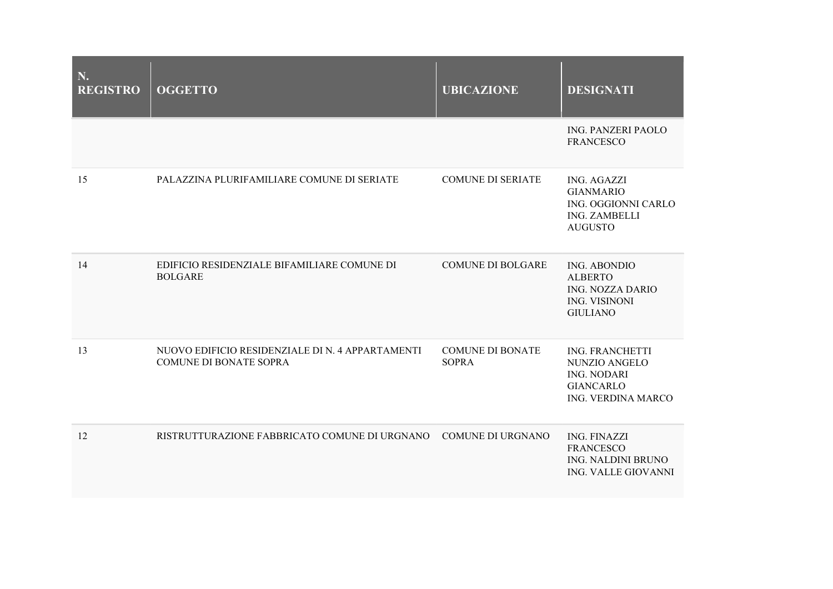| N.<br><b>REGISTRO</b> | <b>OGGETTO</b>                                                                    | <b>UBICAZIONE</b>                       | <b>DESIGNATI</b>                                                                                        |
|-----------------------|-----------------------------------------------------------------------------------|-----------------------------------------|---------------------------------------------------------------------------------------------------------|
|                       |                                                                                   |                                         | <b>ING. PANZERI PAOLO</b><br><b>FRANCESCO</b>                                                           |
| 15                    | PALAZZINA PLURIFAMILIARE COMUNE DI SERIATE                                        | <b>COMUNE DI SERIATE</b>                | <b>ING. AGAZZI</b><br><b>GIANMARIO</b><br>ING. OGGIONNI CARLO<br><b>ING. ZAMBELLI</b><br><b>AUGUSTO</b> |
| 14                    | EDIFICIO RESIDENZIALE BIFAMILIARE COMUNE DI<br><b>BOLGARE</b>                     | <b>COMUNE DI BOLGARE</b>                | ING. ABONDIO<br><b>ALBERTO</b><br><b>ING. NOZZA DARIO</b><br><b>ING. VISINONI</b><br><b>GIULIANO</b>    |
| 13                    | NUOVO EDIFICIO RESIDENZIALE DI N. 4 APPARTAMENTI<br><b>COMUNE DI BONATE SOPRA</b> | <b>COMUNE DI BONATE</b><br><b>SOPRA</b> | <b>ING. FRANCHETTI</b><br>NUNZIO ANGELO<br><b>ING. NODARI</b><br><b>GIANCARLO</b><br>ING. VERDINA MARCO |
| 12                    | RISTRUTTURAZIONE FABBRICATO COMUNE DI URGNANO COMUNE DI URGNANO                   |                                         | <b>ING. FINAZZI</b><br><b>FRANCESCO</b><br>ING. NALDINI BRUNO<br>ING. VALLE GIOVANNI                    |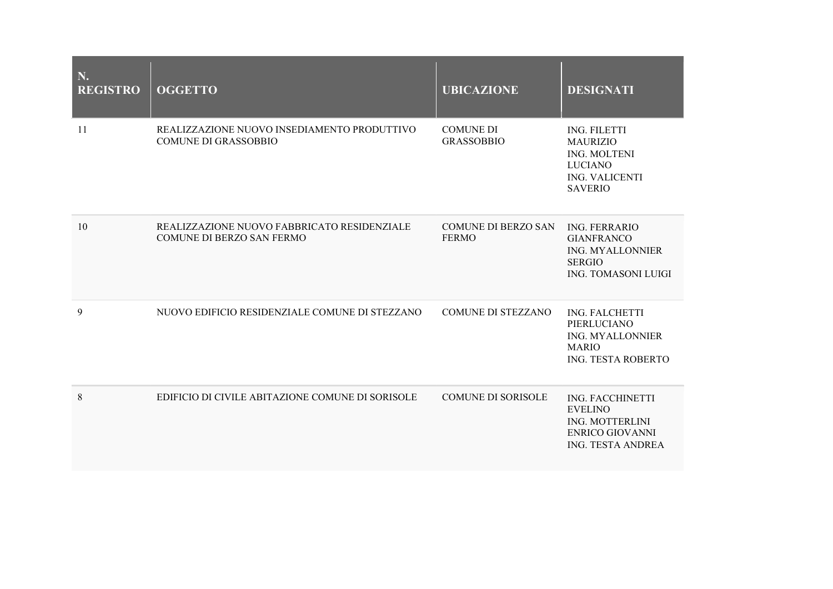| N.<br><b>REGISTRO</b> | <b>OGGETTO</b>                                                             | <b>UBICAZIONE</b>                          | <b>DESIGNATI</b>                                                                                                    |
|-----------------------|----------------------------------------------------------------------------|--------------------------------------------|---------------------------------------------------------------------------------------------------------------------|
| 11                    | REALIZZAZIONE NUOVO INSEDIAMENTO PRODUTTIVO<br><b>COMUNE DI GRASSOBBIO</b> | <b>COMUNE DI</b><br><b>GRASSOBBIO</b>      | ING. FILETTI<br><b>MAURIZIO</b><br><b>ING. MOLTENI</b><br><b>LUCIANO</b><br><b>ING. VALICENTI</b><br><b>SAVERIO</b> |
| 10                    | REALIZZAZIONE NUOVO FABBRICATO RESIDENZIALE<br>COMUNE DI BERZO SAN FERMO   | <b>COMUNE DI BERZO SAN</b><br><b>FERMO</b> | <b>ING. FERRARIO</b><br><b>GIANFRANCO</b><br><b>ING. MYALLONNIER</b><br><b>SERGIO</b><br><b>ING. TOMASONI LUIGI</b> |
| 9                     | NUOVO EDIFICIO RESIDENZIALE COMUNE DI STEZZANO                             | <b>COMUNE DI STEZZANO</b>                  | <b>ING. FALCHETTI</b><br>PIERLUCIANO<br><b>ING. MYALLONNIER</b><br><b>MARIO</b><br>ING. TESTA ROBERTO               |
| 8                     | EDIFICIO DI CIVILE ABITAZIONE COMUNE DI SORISOLE                           | <b>COMUNE DI SORISOLE</b>                  | <b>ING. FACCHINETTI</b><br><b>EVELINO</b><br><b>ING. MOTTERLINI</b><br>ENRICO GIOVANNI<br><b>ING. TESTA ANDREA</b>  |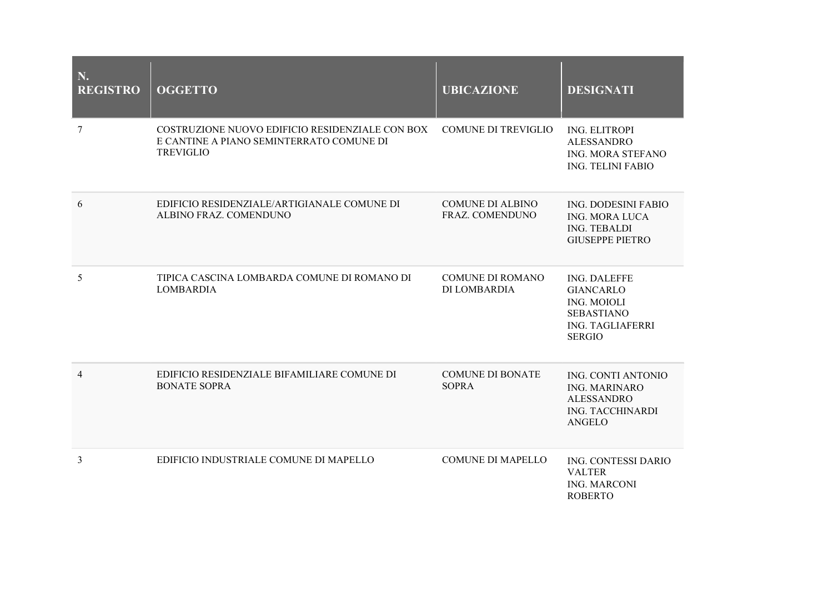| N.<br><b>REGISTRO</b> | <b>OGGETTO</b>                                                                                                  | <b>UBICAZIONE</b>                          | <b>DESIGNATI</b>                                                                                                        |
|-----------------------|-----------------------------------------------------------------------------------------------------------------|--------------------------------------------|-------------------------------------------------------------------------------------------------------------------------|
| 7                     | COSTRUZIONE NUOVO EDIFICIO RESIDENZIALE CON BOX<br>E CANTINE A PIANO SEMINTERRATO COMUNE DI<br><b>TREVIGLIO</b> | <b>COMUNE DI TREVIGLIO</b>                 | <b>ING. ELITROPI</b><br><b>ALESSANDRO</b><br><b>ING. MORA STEFANO</b><br><b>ING. TELINI FABIO</b>                       |
| 6                     | EDIFICIO RESIDENZIALE/ARTIGIANALE COMUNE DI<br>ALBINO FRAZ. COMENDUNO                                           | <b>COMUNE DI ALBINO</b><br>FRAZ. COMENDUNO | <b>ING. DODESINI FABIO</b><br><b>ING. MORA LUCA</b><br><b>ING. TEBALDI</b><br><b>GIUSEPPE PIETRO</b>                    |
| 5                     | TIPICA CASCINA LOMBARDA COMUNE DI ROMANO DI<br><b>LOMBARDIA</b>                                                 | <b>COMUNE DI ROMANO</b><br>DI LOMBARDIA    | ING. DALEFFE<br><b>GIANCARLO</b><br><b>ING. MOIOLI</b><br><b>SEBASTIANO</b><br><b>ING. TAGLIAFERRI</b><br><b>SERGIO</b> |
| 4                     | EDIFICIO RESIDENZIALE BIFAMILIARE COMUNE DI<br><b>BONATE SOPRA</b>                                              | <b>COMUNE DI BONATE</b><br><b>SOPRA</b>    | <b>ING. CONTI ANTONIO</b><br><b>ING. MARINARO</b><br><b>ALESSANDRO</b><br><b>ING. TACCHINARDI</b><br>ANGELO             |
| 3                     | EDIFICIO INDUSTRIALE COMUNE DI MAPELLO                                                                          | <b>COMUNE DI MAPELLO</b>                   | ING. CONTESSI DARIO<br><b>VALTER</b><br><b>ING. MARCONI</b><br><b>ROBERTO</b>                                           |